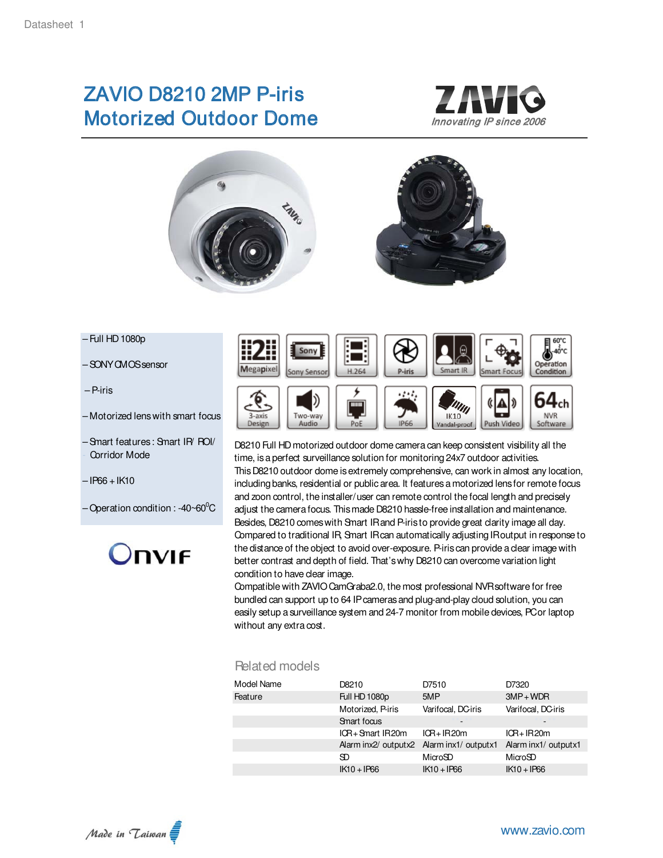# ZAVIO D8210 2MP P-iris Motorized Outdoor Dome *Innovating IP since 2006*







- Full HD 1080p
- SONY CMOS sensor
- P-iris
- Motorized lens with smart focus
- Smart features : Smart IR/ ROI/ Corridor Mode
- $-$  IP66 + IK10
- Operation condition : -40~60 $^0C$





D8210 Full HD motorized outdoor dome camera can keep consistent visibility all the time, is a perfect surveillance solution for monitoring 24x7 outdoor activities. This D8210 outdoor dome is extremely comprehensive, can work in almost any location, including banks, residential or public area. It features a motorized lens for remote focus and zoon control, the installer/user can remote control the focal length and precisely adjust the camera focus. This made D8210 hassle-free installation and maintenance. Besides, D8210 comes with Smart IR and P-iris to provide great clarity image all day. Compared to traditional IR, Smart IR can automatically adjusting IR output in response to the distance of the object to avoid over-exposure. P-iris can provide a clear image with better contrast and depth of field. That's why D8210 can overcome variation light condition to have clear image.

Compatible with ZAVIO CamGraba2.0, the most professional NVR software for free bundled can support up to 64 IP cameras and plug-and-play cloud solution, you can easily setup a surveillance system and 24-7 monitor from mobile devices, PC or laptop without any extra cost.

#### Related models

| Model Name | D8210                                     | D7510              | D7320                |
|------------|-------------------------------------------|--------------------|----------------------|
| Feature    | Full HD 1080p                             | 5MP                | $3MP + WDR$          |
|            | Motorized, P-iris                         | Varifocal, DC-iris | Varifocal, DC-iris   |
|            | Smart focus                               |                    |                      |
|            | $ICR + Snart IR20m$                       | $ICR+IR20m$        | $ICR+IR20m$          |
|            | Alarm inx2/ outputx2 Alarm inx1/ outputx1 |                    | Alarm inx1/ outputx1 |
|            | SD                                        | MicroSD            | MicroSD              |
|            | $IK10 + IPG6$                             | $IK10 + IPG6$      | $IK10 + IPG6$        |
|            |                                           |                    |                      |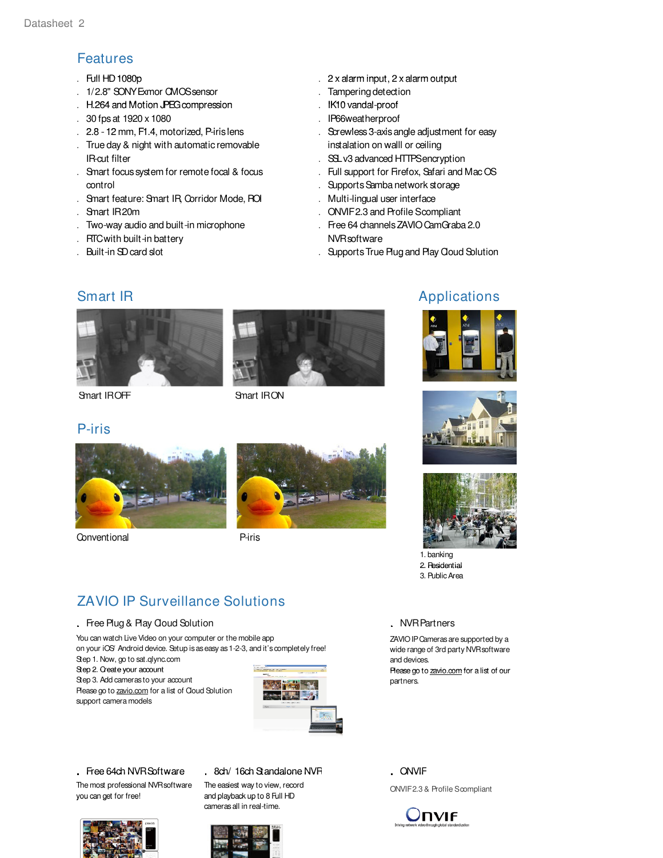## Features

- . Full HD 1080p
- . 1/2.8" SONY Exmor CMOS sensor
- H.264 and Motion JPEG compression . IK10 vandal-
- . 30 fps at 1920 x 1080
- 2.8 12 mm, F1.4, motorized, P-iris lens external contract to serial of Screwless 3-axis angle adjustment for easy . 2.8 - 12 mm, F1.4, motorized, P-iris lens
- filter and discussed the state of the SSL v3 advanced HTTPS encryption . True day & night with automatic removable . IR-cut filter
- . Smart focus system for remote focal & focus . control
- . Smart feature: Smart IR, Corridor Mode, ROI
- . Smart IR 20m
- . Two-way audio and built-in microphone
- . RTC with built-in battery
- 
- . Full HD 1080p **2 x alarm input, 2 x alarm output** 
	- . Tampering detection
	- IK10 vandal-proof
	- . IP66weatherproof
	- . instalation on walll or ceiling
	-
	- . Full support for Firefox, Safari and Mac OS
	- . Supports Samba network storage
	- . Multi-lingual user interface
	- . ONVIF 2.3 and Profile Scompliant
	- . Free 64 channels ZAVIO CamGraba 2.0 . NVR software
- . Built-in SD card slot **Exercise 20** Contracts Connected by Supports True Plug and Play Cloud Solution



Smart IROFF Smart IRON

Conventional

P-iris



Piris

### Smart IR **Applications Applications**







- 1. banking 2. Residential
- 3. Public Area

# ZAVIO IP Surveillance Solutions

#### . Free Plug & Play Cloud Solution

You can watch Live Video on your computer or the mobile app on your iOS/ Android device. Setup is as easy as 1-2-3, and it's completely free!

Step 1. Now, go to sat.qlync.com Step 2. Create your account 2. Please go to zavio com for a list of our Please go to zavio.comfor a list of partners. Step 3. Add cameras to your account Please go to zavio.com for a list of Cloud Solution



The most professional NVR software you can get for free! you can get for free!  $\hskip2cm$  and playback up to 8 Full HD

#### . Free 64ch NVR Software . 8ch/ 16ch Standalone NVR . ONVIF

The easiest way to view, record cameras all in real-time.



support camera models



#### . NVR Partners

ZAVIO IP Cameras are supported by a wide range of 3rd party NVR software and devices.

ONVIF 2.3 & Profile Scompliant